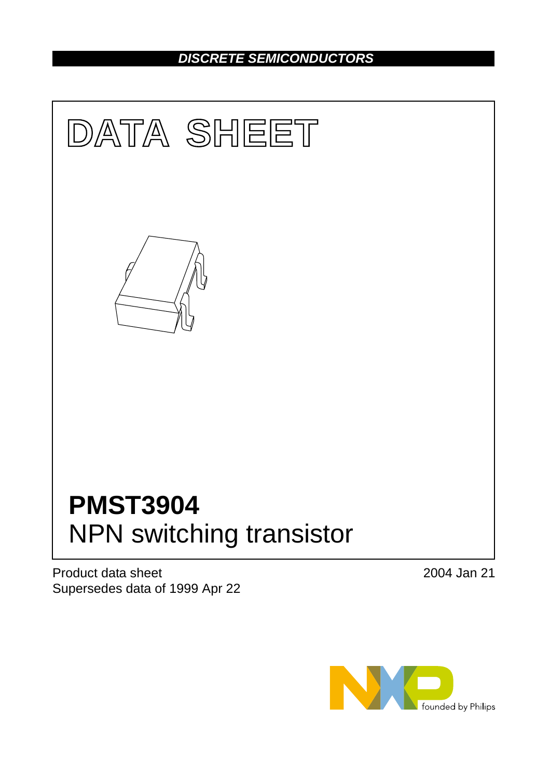# *DISCRETE SEMICONDUCTORS*



Product data sheet Supersedes data of 1999 Apr 22 2004 Jan 21

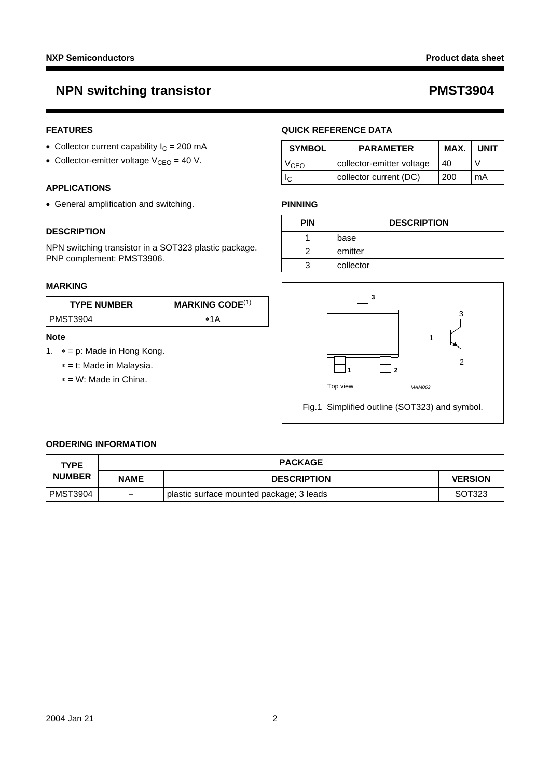# **NPN switching transistor CONST 2004 PMST3904**

## **FEATURES**

- Collector current capability  $I_C = 200$  mA
- Collector-emitter voltage  $V_{CEO} = 40 V$ .

## **APPLICATIONS**

• General amplification and switching.

## **DESCRIPTION**

NPN switching transistor in a SOT323 plastic package. PNP complement: PMST3906.

### **MARKING**

| <b>TYPE NUMBER</b> | <b>MARKING CODE</b> $(1)$ |
|--------------------|---------------------------|
| l PMST3904         | *1A                       |

### **Note**

- <span id="page-1-0"></span>1. ∗ = p: Made in Hong Kong.
	- ∗ = t: Made in Malaysia.
	- ∗ = W: Made in China.

## **QUICK REFERENCE DATA**

| <b>SYMBOL</b> | <b>PARAMETER</b>          | MAX. | <b>UNIT</b> |
|---------------|---------------------------|------|-------------|
| VCEO          | collector-emitter voltage | 40   |             |
|               | collector current (DC)    | 200  | mA          |

### **PINNING**

| <b>PIN</b> | <b>DESCRIPTION</b> |
|------------|--------------------|
|            | base               |
|            | emitter            |
| ີ          | collector          |



### **ORDERING INFORMATION**

| <b>TYPE</b>     |                        | <b>PACKAGE</b>                           |                |
|-----------------|------------------------|------------------------------------------|----------------|
| <b>NUMBER</b>   | <b>NAME</b>            | <b>DESCRIPTION</b>                       | <b>VERSION</b> |
| <b>PMST3904</b> | $\qquad \qquad \qquad$ | plastic surface mounted package; 3 leads | SOT323         |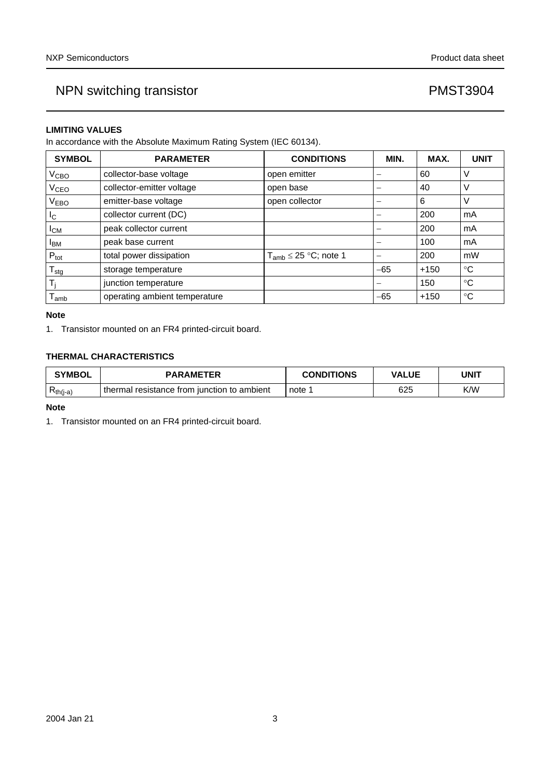## **LIMITING VALUES**

In accordance with the Absolute Maximum Rating System (IEC 60134).

| <b>SYMBOL</b>               | <b>PARAMETER</b>              | <b>CONDITIONS</b>            | MIN.  | MAX.   | <b>UNIT</b> |
|-----------------------------|-------------------------------|------------------------------|-------|--------|-------------|
| V <sub>CBO</sub>            | collector-base voltage        | open emitter                 | -     | 60     | ν           |
| V <sub>CEO</sub>            | collector-emitter voltage     | open base                    |       | 40     | ν           |
| V <sub>EBO</sub>            | emitter-base voltage          | open collector               | -     | 6      | V           |
| <sub>IC</sub>               | collector current (DC)        |                              |       | 200    | mA          |
| $I_{CM}$                    | peak collector current        |                              |       | 200    | mA          |
| <b>I</b> <sub>BM</sub>      | peak base current             |                              |       | 100    | mA          |
| $P_{\text{tot}}$            | total power dissipation       | $T_{amb} \leq 25$ °C; note 1 |       | 200    | mW          |
| $\mathsf{T}_{\textsf{stg}}$ | storage temperature           |                              | $-65$ | $+150$ | °C          |
| T,                          | junction temperature          |                              | -     | 150    | °C          |
| $I_{amb}$                   | operating ambient temperature |                              | $-65$ | $+150$ | $^{\circ}C$ |

## **Note**

<span id="page-2-0"></span>1. Transistor mounted on an FR4 printed-circuit board.

## **THERMAL CHARACTERISTICS**

| <b>SYMBOL</b>   | <b>PARAMETER</b>                                | <b>CONDITIONS</b> | <b>VALUE</b> | UNIT |
|-----------------|-------------------------------------------------|-------------------|--------------|------|
| D<br>$Rth(i-a)$ | ⊪thermal<br>resistance from junction to ambient | note              | 625          | K/W  |

### **Note**

<span id="page-2-1"></span>1. Transistor mounted on an FR4 printed-circuit board.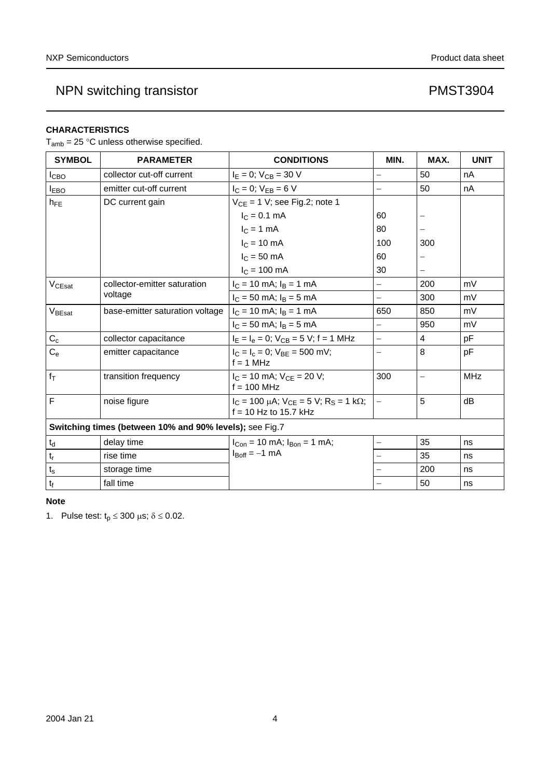# **CHARACTERISTICS**

 $T_{amb} = 25$  °C unless otherwise specified.

| <b>SYMBOL</b>                 | <b>PARAMETER</b>                                        | <b>CONDITIONS</b>                                                                   | MIN.                     | MAX.                     | <b>UNIT</b> |
|-------------------------------|---------------------------------------------------------|-------------------------------------------------------------------------------------|--------------------------|--------------------------|-------------|
| I <sub>СВО</sub>              | collector cut-off current                               | $I_E = 0$ ; $V_{CB} = 30$ V                                                         | $\overline{\phantom{0}}$ | 50                       | nA          |
| <b>IEBO</b>                   | emitter cut-off current                                 | $I_C = 0$ ; $V_{EB} = 6 V$                                                          | $\equiv$                 | 50                       | nA          |
| $h_{FE}$                      | DC current gain                                         | $V_{CE} = 1$ V; see Fig.2; note 1                                                   |                          |                          |             |
|                               |                                                         | $I_C = 0.1$ mA                                                                      | 60                       | $\overline{\phantom{0}}$ |             |
|                               |                                                         | $I_C = 1$ mA                                                                        | 80                       |                          |             |
|                               |                                                         | $IC = 10 mA$                                                                        | 100                      | 300                      |             |
|                               |                                                         | $IC$ = 50 mA                                                                        | 60                       |                          |             |
|                               |                                                         | $I_{C}$ = 100 mA                                                                    | 30                       |                          |             |
| $V_{CEsat}$                   | collector-emitter saturation                            | $I_C = 10$ mA; $I_B = 1$ mA                                                         | $\equiv$                 | 200                      | mV          |
|                               | voltage                                                 | $I_C = 50$ mA; $I_B = 5$ mA                                                         | $\equiv$                 | 300                      | mV          |
| VBEsat                        | base-emitter saturation voltage                         | $I_C = 10$ mA; $I_B = 1$ mA                                                         | 650                      | 850                      | mV          |
|                               |                                                         | $I_C = 50$ mA; $I_B = 5$ mA                                                         | $\equiv$                 | 950                      | mV          |
| $C_c$                         | collector capacitance                                   | $I_F = I_e = 0$ ; $V_{CB} = 5$ V; f = 1 MHz                                         | $\equiv$                 | 4                        | pF          |
| $C_{e}$                       | emitter capacitance                                     | $I_C = I_c = 0$ ; $V_{BE} = 500$ mV;<br>$f = 1$ MHz                                 | $\overline{\phantom{0}}$ | 8                        | pF          |
| $f_T$                         | transition frequency                                    | $I_C = 10$ mA; $V_{CE} = 20$ V;<br>$f = 100$ MHz                                    | 300                      |                          | <b>MHz</b>  |
| F                             | noise figure                                            | $I_C = 100 \mu A$ ; $V_{CE} = 5 V$ ; $R_S = 1 k\Omega$ ;<br>$f = 10$ Hz to 15.7 kHz | $\overline{\phantom{0}}$ | 5                        | dB          |
|                               | Switching times (between 10% and 90% levels); see Fig.7 |                                                                                     |                          |                          |             |
| $\mathfrak{t}_{\sf d}$        | delay time                                              | $I_{Con}$ = 10 mA; $I_{Bon}$ = 1 mA;                                                | $\equiv$                 | 35                       | ns          |
| $\mathsf{t}_{\mathsf{r}}$     | rise time                                               | $I_{\text{Boff}} = -1$ mA                                                           |                          | 35                       | ns          |
| $t_{\rm s}$                   | storage time                                            |                                                                                     |                          | 200                      | ns          |
| $\mathfrak{t}_{\mathfrak{f}}$ | fall time                                               |                                                                                     |                          | 50                       | ns          |

## **Note**

<span id="page-3-0"></span>1. Pulse test:  $t_p \le 300 \text{ }\mu\text{s}; \delta \le 0.02$ .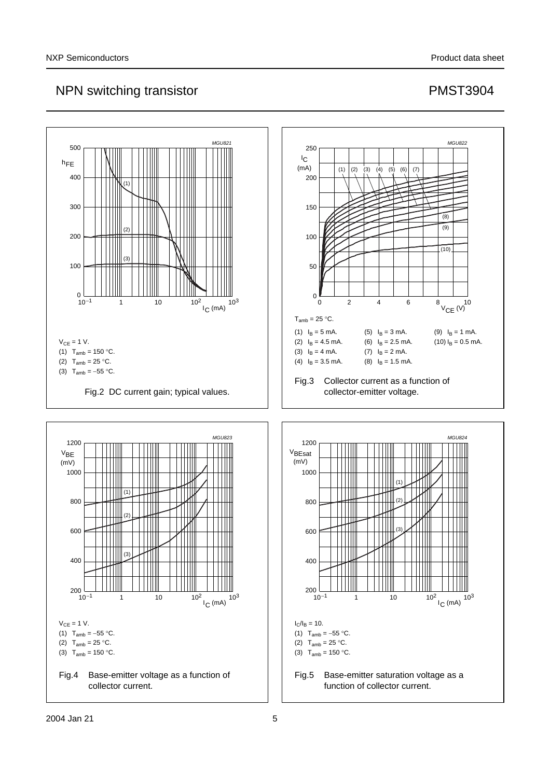<span id="page-4-0"></span>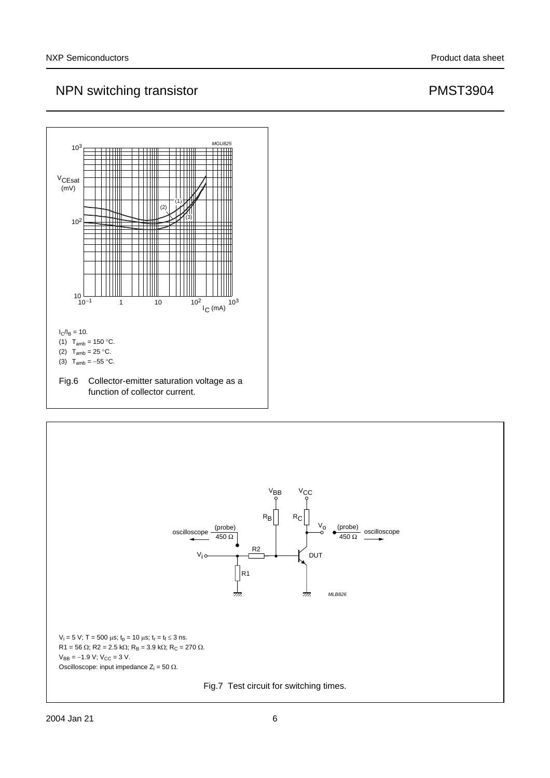

<span id="page-5-0"></span>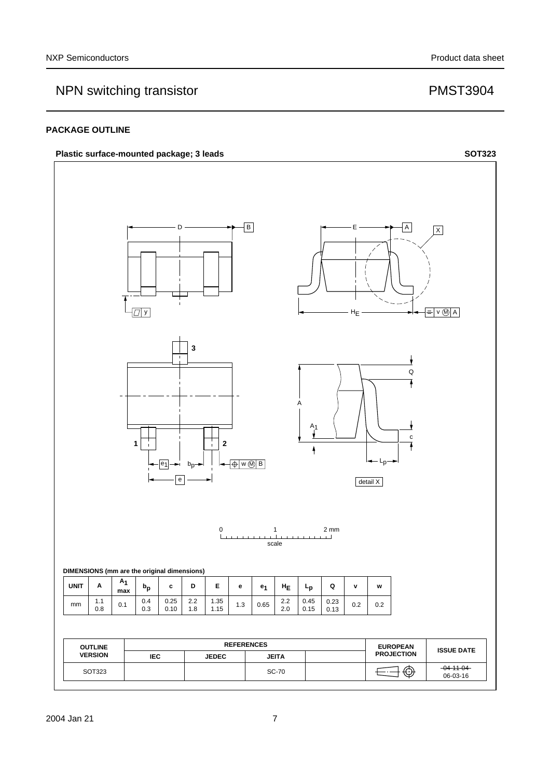## **PACKAGE OUTLINE**

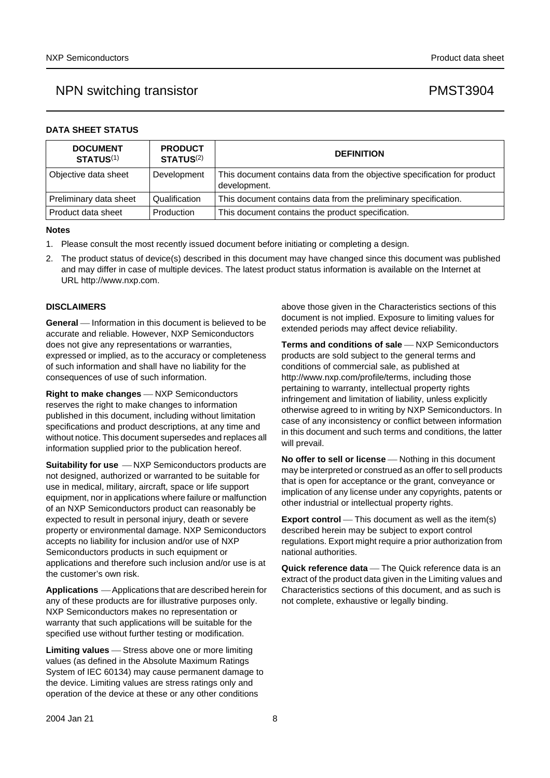| <b>DATA SHEET STATUS</b> |  |  |  |
|--------------------------|--|--|--|
|--------------------------|--|--|--|

| <b>DOCUMENT</b><br><b>STATUS(1)</b> | <b>PRODUCT</b><br><b>STATUS(2)</b> | <b>DEFINITION</b>                                                                        |
|-------------------------------------|------------------------------------|------------------------------------------------------------------------------------------|
| Objective data sheet                | Development                        | This document contains data from the objective specification for product<br>development. |
| Preliminary data sheet              | Qualification                      | This document contains data from the preliminary specification.                          |
| l Product data sheet                | Production                         | This document contains the product specification.                                        |

### **Notes**

- <span id="page-7-0"></span>1. Please consult the most recently issued document before initiating or completing a design.
- <span id="page-7-1"></span>2. The product status of device(s) described in this document may have changed since this document was published and may differ in case of multiple devices. The latest product status information is available on the Internet at URL http://www.nxp.com.

### **DISCLAIMERS**

**General** — Information in this document is believed to be accurate and reliable. However, NXP Semiconductors does not give any representations or warranties, expressed or implied, as to the accuracy or completeness of such information and shall have no liability for the consequences of use of such information.

**Right to make changes** — NXP Semiconductors reserves the right to make changes to information published in this document, including without limitation specifications and product descriptions, at any time and without notice. This document supersedes and replaces all information supplied prior to the publication hereof.

**Suitability for use**  $-MXP$  Semiconductors products are not designed, authorized or warranted to be suitable for use in medical, military, aircraft, space or life support equipment, nor in applications where failure or malfunction of an NXP Semiconductors product can reasonably be expected to result in personal injury, death or severe property or environmental damage. NXP Semiconductors accepts no liability for inclusion and/or use of NXP Semiconductors products in such equipment or applications and therefore such inclusion and/or use is at the customer's own risk.

**Applications** ⎯ Applications that are described herein for any of these products are for illustrative purposes only. NXP Semiconductors makes no representation or warranty that such applications will be suitable for the specified use without further testing or modification.

**Limiting values** – Stress above one or more limiting values (as defined in the Absolute Maximum Ratings System of IEC 60134) may cause permanent damage to the device. Limiting values are stress ratings only and operation of the device at these or any other conditions

above those given in the Characteristics sections of this document is not implied. Exposure to limiting values for extended periods may affect device reliability.

**Terms and conditions of sale** - NXP Semiconductors products are sold subject to the general terms and conditions of commercial sale, as published at http://www.nxp.com/profile/terms, including those pertaining to warranty, intellectual property rights infringement and limitation of liability, unless explicitly [otherwise agreed to in writing by NXP Semiconductors. In](http://www.nxp.com/profile/terms)  case of any inconsistency or conflict between information in this document and such terms and conditions, the latter will prevail.

**No offer to sell or license** — Nothing in this document may be interpreted or construed as an offer to sell products that is open for acceptance or the grant, conveyance or implication of any license under any copyrights, patents or other industrial or intellectual property rights.

**Export control** — This document as well as the item(s) described herein may be subject to export control regulations. Export might require a prior authorization from national authorities.

**Quick reference data** – The Quick reference data is an extract of the product data given in the Limiting values and Characteristics sections of this document, and as such is not complete, exhaustive or legally binding.